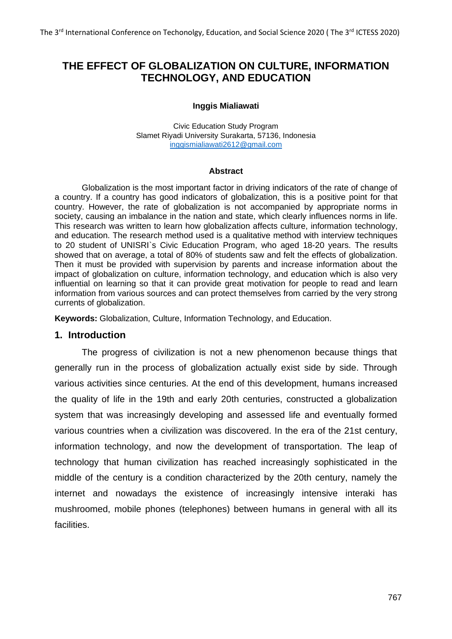# **THE EFFECT OF GLOBALIZATION ON CULTURE, INFORMATION TECHNOLOGY, AND EDUCATION**

#### **Inggis Mialiawati**

Civic Education Study Program Slamet Riyadi University Surakarta, 57136, Indonesia [inggismialiawati2612@gmail.com](mailto:inggismialiawati2612@gmail.com)

#### **Abstract**

Globalization is the most important factor in driving indicators of the rate of change of a country. If a country has good indicators of globalization, this is a positive point for that country. However, the rate of globalization is not accompanied by appropriate norms in society, causing an imbalance in the nation and state, which clearly influences norms in life. This research was written to learn how globalization affects culture, information technology, and education. The research method used is a qualitative method with interview techniques to 20 student of UNISRI`s Civic Education Program, who aged 18-20 years. The results showed that on average, a total of 80% of students saw and felt the effects of globalization. Then it must be provided with supervision by parents and increase information about the impact of globalization on culture, information technology, and education which is also very influential on learning so that it can provide great motivation for people to read and learn information from various sources and can protect themselves from carried by the very strong currents of globalization.

**Keywords:** Globalization, Culture, Information Technology, and Education.

### **1. Introduction**

The progress of civilization is not a new phenomenon because things that generally run in the process of globalization actually exist side by side. Through various activities since centuries. At the end of this development, humans increased the quality of life in the 19th and early 20th centuries, constructed a globalization system that was increasingly developing and assessed life and eventually formed various countries when a civilization was discovered. In the era of the 21st century, information technology, and now the development of transportation. The leap of technology that human civilization has reached increasingly sophisticated in the middle of the century is a condition characterized by the 20th century, namely the internet and nowadays the existence of increasingly intensive interaki has mushroomed, mobile phones (telephones) between humans in general with all its facilities.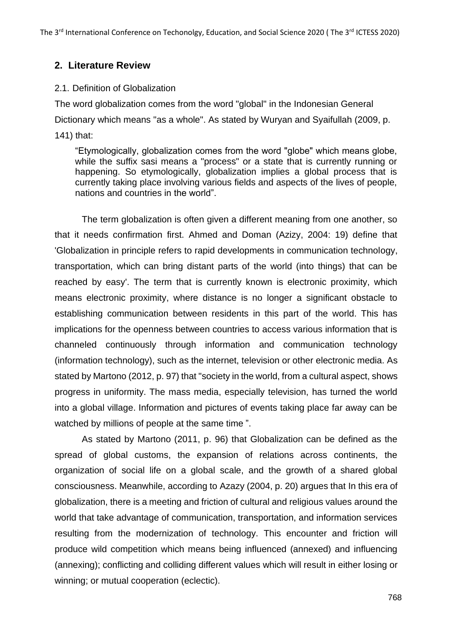# **2. Literature Review**

# 2.1. Definition of Globalization

The word globalization comes from the word "global" in the Indonesian General Dictionary which means "as a whole". As stated by Wuryan and Syaifullah (2009, p. 141) that:

"Etymologically, globalization comes from the word "globe" which means globe, while the suffix sasi means a "process" or a state that is currently running or happening. So etymologically, globalization implies a global process that is currently taking place involving various fields and aspects of the lives of people, nations and countries in the world".

The term globalization is often given a different meaning from one another, so that it needs confirmation first. Ahmed and Doman (Azizy, 2004: 19) define that 'Globalization in principle refers to rapid developments in communication technology, transportation, which can bring distant parts of the world (into things) that can be reached by easy'. The term that is currently known is electronic proximity, which means electronic proximity, where distance is no longer a significant obstacle to establishing communication between residents in this part of the world. This has implications for the openness between countries to access various information that is channeled continuously through information and communication technology (information technology), such as the internet, television or other electronic media. As stated by Martono (2012, p. 97) that "society in the world, from a cultural aspect, shows progress in uniformity. The mass media, especially television, has turned the world into a global village. Information and pictures of events taking place far away can be watched by millions of people at the same time ".

As stated by Martono (2011, p. 96) that Globalization can be defined as the spread of global customs, the expansion of relations across continents, the organization of social life on a global scale, and the growth of a shared global consciousness. Meanwhile, according to Azazy (2004, p. 20) argues that In this era of globalization, there is a meeting and friction of cultural and religious values around the world that take advantage of communication, transportation, and information services resulting from the modernization of technology. This encounter and friction will produce wild competition which means being influenced (annexed) and influencing (annexing); conflicting and colliding different values which will result in either losing or winning; or mutual cooperation (eclectic).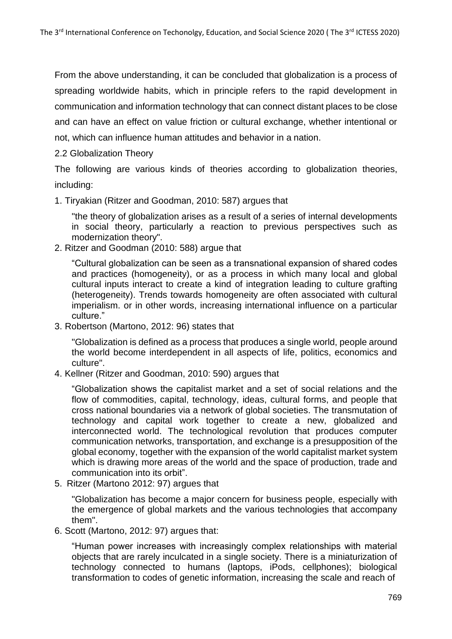From the above understanding, it can be concluded that globalization is a process of spreading worldwide habits, which in principle refers to the rapid development in communication and information technology that can connect distant places to be close and can have an effect on value friction or cultural exchange, whether intentional or not, which can influence human attitudes and behavior in a nation.

### 2.2 Globalization Theory

The following are various kinds of theories according to globalization theories, including:

1. Tiryakian (Ritzer and Goodman, 2010: 587) argues that

"the theory of globalization arises as a result of a series of internal developments in social theory, particularly a reaction to previous perspectives such as modernization theory".

2. Ritzer and Goodman (2010: 588) argue that

"Cultural globalization can be seen as a transnational expansion of shared codes and practices (homogeneity), or as a process in which many local and global cultural inputs interact to create a kind of integration leading to culture grafting (heterogeneity). Trends towards homogeneity are often associated with cultural imperialism. or in other words, increasing international influence on a particular culture."

3. Robertson (Martono, 2012: 96) states that

"Globalization is defined as a process that produces a single world, people around the world become interdependent in all aspects of life, politics, economics and culture".

4. Kellner (Ritzer and Goodman, 2010: 590) argues that

"Globalization shows the capitalist market and a set of social relations and the flow of commodities, capital, technology, ideas, cultural forms, and people that cross national boundaries via a network of global societies. The transmutation of technology and capital work together to create a new, globalized and interconnected world. The technological revolution that produces computer communication networks, transportation, and exchange is a presupposition of the global economy, together with the expansion of the world capitalist market system which is drawing more areas of the world and the space of production, trade and communication into its orbit".

5. Ritzer (Martono 2012: 97) argues that

"Globalization has become a major concern for business people, especially with the emergence of global markets and the various technologies that accompany them".

6. Scott (Martono, 2012: 97) argues that:

"Human power increases with increasingly complex relationships with material objects that are rarely inculcated in a single society. There is a miniaturization of technology connected to humans (laptops, iPods, cellphones); biological transformation to codes of genetic information, increasing the scale and reach of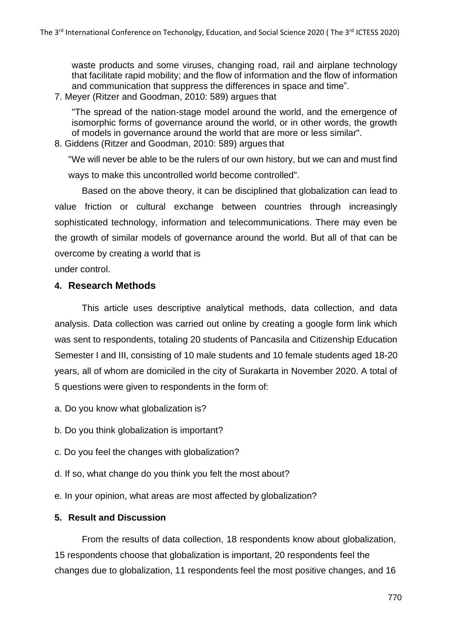waste products and some viruses, changing road, rail and airplane technology that facilitate rapid mobility; and the flow of information and the flow of information and communication that suppress the differences in space and time".

7. Meyer (Ritzer and Goodman, 2010: 589) argues that

"The spread of the nation-stage model around the world, and the emergence of isomorphic forms of governance around the world, or in other words, the growth of models in governance around the world that are more or less similar".

8. Giddens (Ritzer and Goodman, 2010: 589) argues that

"We will never be able to be the rulers of our own history, but we can and must find ways to make this uncontrolled world become controlled".

Based on the above theory, it can be disciplined that globalization can lead to value friction or cultural exchange between countries through increasingly sophisticated technology, information and telecommunications. There may even be the growth of similar models of governance around the world. But all of that can be overcome by creating a world that is

under control.

# **4. Research Methods**

This article uses descriptive analytical methods, data collection, and data analysis. Data collection was carried out online by creating a google form link which was sent to respondents, totaling 20 students of Pancasila and Citizenship Education Semester I and III, consisting of 10 male students and 10 female students aged 18-20 years, all of whom are domiciled in the city of Surakarta in November 2020. A total of 5 questions were given to respondents in the form of:

- a. Do you know what globalization is?
- b. Do you think globalization is important?
- c. Do you feel the changes with globalization?
- d. If so, what change do you think you felt the most about?
- e. In your opinion, what areas are most affected by globalization?

# **5. Result and Discussion**

From the results of data collection, 18 respondents know about globalization, 15 respondents choose that globalization is important, 20 respondents feel the changes due to globalization, 11 respondents feel the most positive changes, and 16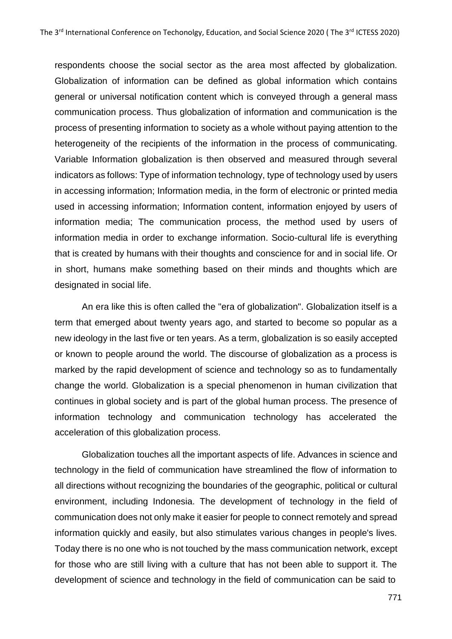respondents choose the social sector as the area most affected by globalization. Globalization of information can be defined as global information which contains general or universal notification content which is conveyed through a general mass communication process. Thus globalization of information and communication is the process of presenting information to society as a whole without paying attention to the heterogeneity of the recipients of the information in the process of communicating. Variable Information globalization is then observed and measured through several indicators as follows: Type of information technology, type of technology used by users in accessing information; Information media, in the form of electronic or printed media used in accessing information; Information content, information enjoyed by users of information media; The communication process, the method used by users of information media in order to exchange information. Socio-cultural life is everything that is created by humans with their thoughts and conscience for and in social life. Or in short, humans make something based on their minds and thoughts which are designated in social life.

An era like this is often called the "era of globalization". Globalization itself is a term that emerged about twenty years ago, and started to become so popular as a new ideology in the last five or ten years. As a term, globalization is so easily accepted or known to people around the world. The discourse of globalization as a process is marked by the rapid development of science and technology so as to fundamentally change the world. Globalization is a special phenomenon in human civilization that continues in global society and is part of the global human process. The presence of information technology and communication technology has accelerated the acceleration of this globalization process.

Globalization touches all the important aspects of life. Advances in science and technology in the field of communication have streamlined the flow of information to all directions without recognizing the boundaries of the geographic, political or cultural environment, including Indonesia. The development of technology in the field of communication does not only make it easier for people to connect remotely and spread information quickly and easily, but also stimulates various changes in people's lives. Today there is no one who is not touched by the mass communication network, except for those who are still living with a culture that has not been able to support it. The development of science and technology in the field of communication can be said to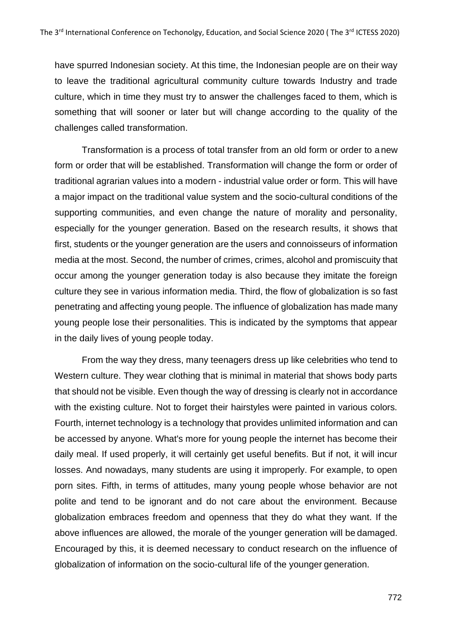have spurred Indonesian society. At this time, the Indonesian people are on their way to leave the traditional agricultural community culture towards Industry and trade culture, which in time they must try to answer the challenges faced to them, which is something that will sooner or later but will change according to the quality of the challenges called transformation.

Transformation is a process of total transfer from an old form or order to a new form or order that will be established. Transformation will change the form or order of traditional agrarian values into a modern - industrial value order or form. This will have a major impact on the traditional value system and the socio-cultural conditions of the supporting communities, and even change the nature of morality and personality, especially for the younger generation. Based on the research results, it shows that first, students or the younger generation are the users and connoisseurs of information media at the most. Second, the number of crimes, crimes, alcohol and promiscuity that occur among the younger generation today is also because they imitate the foreign culture they see in various information media. Third, the flow of globalization is so fast penetrating and affecting young people. The influence of globalization has made many young people lose their personalities. This is indicated by the symptoms that appear in the daily lives of young people today.

From the way they dress, many teenagers dress up like celebrities who tend to Western culture. They wear clothing that is minimal in material that shows body parts that should not be visible. Even though the way of dressing is clearly not in accordance with the existing culture. Not to forget their hairstyles were painted in various colors. Fourth, internet technology is a technology that provides unlimited information and can be accessed by anyone. What's more for young people the internet has become their daily meal. If used properly, it will certainly get useful benefits. But if not, it will incur losses. And nowadays, many students are using it improperly. For example, to open porn sites. Fifth, in terms of attitudes, many young people whose behavior are not polite and tend to be ignorant and do not care about the environment. Because globalization embraces freedom and openness that they do what they want. If the above influences are allowed, the morale of the younger generation will be damaged. Encouraged by this, it is deemed necessary to conduct research on the influence of globalization of information on the socio-cultural life of the younger generation.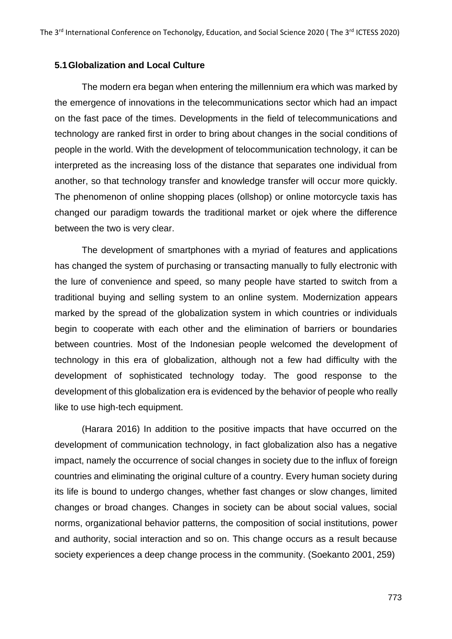#### **5.1Globalization and Local Culture**

The modern era began when entering the millennium era which was marked by the emergence of innovations in the telecommunications sector which had an impact on the fast pace of the times. Developments in the field of telecommunications and technology are ranked first in order to bring about changes in the social conditions of people in the world. With the development of telocommunication technology, it can be interpreted as the increasing loss of the distance that separates one individual from another, so that technology transfer and knowledge transfer will occur more quickly. The phenomenon of online shopping places (ollshop) or online motorcycle taxis has changed our paradigm towards the traditional market or ojek where the difference between the two is very clear.

The development of smartphones with a myriad of features and applications has changed the system of purchasing or transacting manually to fully electronic with the lure of convenience and speed, so many people have started to switch from a traditional buying and selling system to an online system. Modernization appears marked by the spread of the globalization system in which countries or individuals begin to cooperate with each other and the elimination of barriers or boundaries between countries. Most of the Indonesian people welcomed the development of technology in this era of globalization, although not a few had difficulty with the development of sophisticated technology today. The good response to the development of this globalization era is evidenced by the behavior of people who really like to use high-tech equipment.

(Harara 2016) In addition to the positive impacts that have occurred on the development of communication technology, in fact globalization also has a negative impact, namely the occurrence of social changes in society due to the influx of foreign countries and eliminating the original culture of a country. Every human society during its life is bound to undergo changes, whether fast changes or slow changes, limited changes or broad changes. Changes in society can be about social values, social norms, organizational behavior patterns, the composition of social institutions, power and authority, social interaction and so on. This change occurs as a result because society experiences a deep change process in the community. (Soekanto 2001, 259)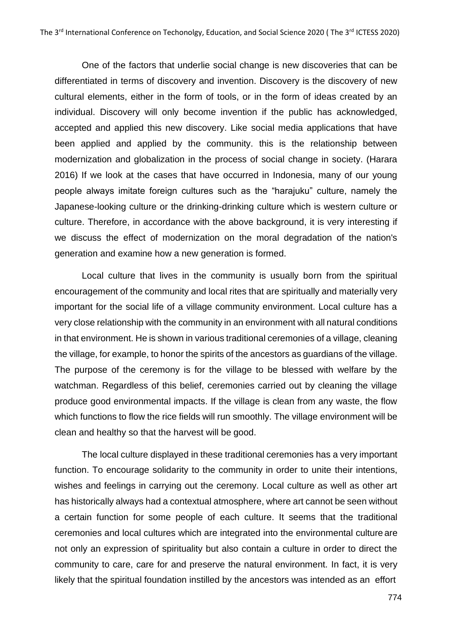One of the factors that underlie social change is new discoveries that can be differentiated in terms of discovery and invention. Discovery is the discovery of new cultural elements, either in the form of tools, or in the form of ideas created by an individual. Discovery will only become invention if the public has acknowledged, accepted and applied this new discovery. Like social media applications that have been applied and applied by the community. this is the relationship between modernization and globalization in the process of social change in society. (Harara 2016) If we look at the cases that have occurred in Indonesia, many of our young people always imitate foreign cultures such as the "harajuku" culture, namely the Japanese-looking culture or the drinking-drinking culture which is western culture or culture. Therefore, in accordance with the above background, it is very interesting if we discuss the effect of modernization on the moral degradation of the nation's generation and examine how a new generation is formed.

Local culture that lives in the community is usually born from the spiritual encouragement of the community and local rites that are spiritually and materially very important for the social life of a village community environment. Local culture has a very close relationship with the community in an environment with all natural conditions in that environment. He is shown in various traditional ceremonies of a village, cleaning the village, for example, to honor the spirits of the ancestors as guardians of the village. The purpose of the ceremony is for the village to be blessed with welfare by the watchman. Regardless of this belief, ceremonies carried out by cleaning the village produce good environmental impacts. If the village is clean from any waste, the flow which functions to flow the rice fields will run smoothly. The village environment will be clean and healthy so that the harvest will be good.

The local culture displayed in these traditional ceremonies has a very important function. To encourage solidarity to the community in order to unite their intentions, wishes and feelings in carrying out the ceremony. Local culture as well as other art has historically always had a contextual atmosphere, where art cannot be seen without a certain function for some people of each culture. It seems that the traditional ceremonies and local cultures which are integrated into the environmental culture are not only an expression of spirituality but also contain a culture in order to direct the community to care, care for and preserve the natural environment. In fact, it is very likely that the spiritual foundation instilled by the ancestors was intended as an effort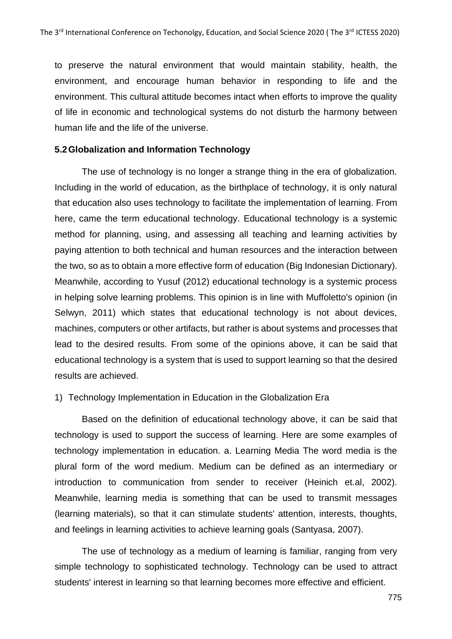to preserve the natural environment that would maintain stability, health, the environment, and encourage human behavior in responding to life and the environment. This cultural attitude becomes intact when efforts to improve the quality of life in economic and technological systems do not disturb the harmony between human life and the life of the universe.

### **5.2Globalization and Information Technology**

The use of technology is no longer a strange thing in the era of globalization. Including in the world of education, as the birthplace of technology, it is only natural that education also uses technology to facilitate the implementation of learning. From here, came the term educational technology. Educational technology is a systemic method for planning, using, and assessing all teaching and learning activities by paying attention to both technical and human resources and the interaction between the two, so as to obtain a more effective form of education (Big Indonesian Dictionary). Meanwhile, according to Yusuf (2012) educational technology is a systemic process in helping solve learning problems. This opinion is in line with Muffoletto's opinion (in Selwyn, 2011) which states that educational technology is not about devices, machines, computers or other artifacts, but rather is about systems and processes that lead to the desired results. From some of the opinions above, it can be said that educational technology is a system that is used to support learning so that the desired results are achieved.

### 1) Technology Implementation in Education in the Globalization Era

Based on the definition of educational technology above, it can be said that technology is used to support the success of learning. Here are some examples of technology implementation in education. a. Learning Media The word media is the plural form of the word medium. Medium can be defined as an intermediary or introduction to communication from sender to receiver (Heinich et.al, 2002). Meanwhile, learning media is something that can be used to transmit messages (learning materials), so that it can stimulate students' attention, interests, thoughts, and feelings in learning activities to achieve learning goals (Santyasa, 2007).

The use of technology as a medium of learning is familiar, ranging from very simple technology to sophisticated technology. Technology can be used to attract students' interest in learning so that learning becomes more effective and efficient.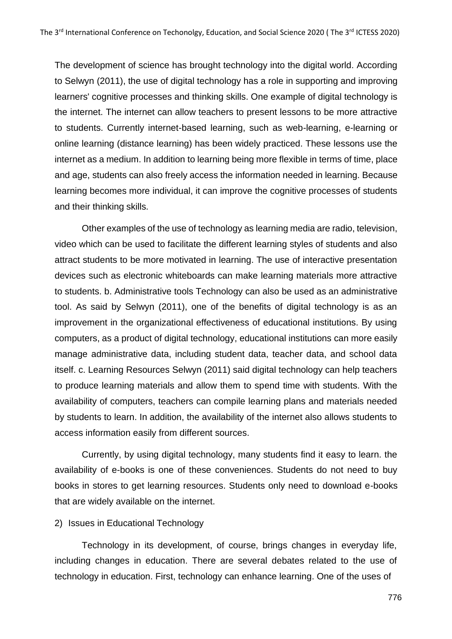The development of science has brought technology into the digital world. According to Selwyn (2011), the use of digital technology has a role in supporting and improving learners' cognitive processes and thinking skills. One example of digital technology is the internet. The internet can allow teachers to present lessons to be more attractive to students. Currently internet-based learning, such as web-learning, e-learning or online learning (distance learning) has been widely practiced. These lessons use the internet as a medium. In addition to learning being more flexible in terms of time, place and age, students can also freely access the information needed in learning. Because learning becomes more individual, it can improve the cognitive processes of students and their thinking skills.

Other examples of the use of technology as learning media are radio, television, video which can be used to facilitate the different learning styles of students and also attract students to be more motivated in learning. The use of interactive presentation devices such as electronic whiteboards can make learning materials more attractive to students. b. Administrative tools Technology can also be used as an administrative tool. As said by Selwyn (2011), one of the benefits of digital technology is as an improvement in the organizational effectiveness of educational institutions. By using computers, as a product of digital technology, educational institutions can more easily manage administrative data, including student data, teacher data, and school data itself. c. Learning Resources Selwyn (2011) said digital technology can help teachers to produce learning materials and allow them to spend time with students. With the availability of computers, teachers can compile learning plans and materials needed by students to learn. In addition, the availability of the internet also allows students to access information easily from different sources.

Currently, by using digital technology, many students find it easy to learn. the availability of e-books is one of these conveniences. Students do not need to buy books in stores to get learning resources. Students only need to download e-books that are widely available on the internet.

#### 2) Issues in Educational Technology

Technology in its development, of course, brings changes in everyday life, including changes in education. There are several debates related to the use of technology in education. First, technology can enhance learning. One of the uses of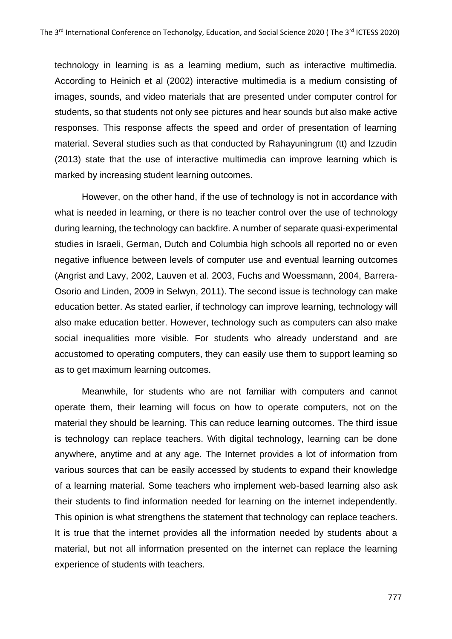technology in learning is as a learning medium, such as interactive multimedia. According to Heinich et al (2002) interactive multimedia is a medium consisting of images, sounds, and video materials that are presented under computer control for students, so that students not only see pictures and hear sounds but also make active responses. This response affects the speed and order of presentation of learning material. Several studies such as that conducted by Rahayuningrum (tt) and Izzudin (2013) state that the use of interactive multimedia can improve learning which is marked by increasing student learning outcomes.

However, on the other hand, if the use of technology is not in accordance with what is needed in learning, or there is no teacher control over the use of technology during learning, the technology can backfire. A number of separate quasi-experimental studies in Israeli, German, Dutch and Columbia high schools all reported no or even negative influence between levels of computer use and eventual learning outcomes (Angrist and Lavy, 2002, Lauven et al. 2003, Fuchs and Woessmann, 2004, Barrera-Osorio and Linden, 2009 in Selwyn, 2011). The second issue is technology can make education better. As stated earlier, if technology can improve learning, technology will also make education better. However, technology such as computers can also make social inequalities more visible. For students who already understand and are accustomed to operating computers, they can easily use them to support learning so as to get maximum learning outcomes.

Meanwhile, for students who are not familiar with computers and cannot operate them, their learning will focus on how to operate computers, not on the material they should be learning. This can reduce learning outcomes. The third issue is technology can replace teachers. With digital technology, learning can be done anywhere, anytime and at any age. The Internet provides a lot of information from various sources that can be easily accessed by students to expand their knowledge of a learning material. Some teachers who implement web-based learning also ask their students to find information needed for learning on the internet independently. This opinion is what strengthens the statement that technology can replace teachers. It is true that the internet provides all the information needed by students about a material, but not all information presented on the internet can replace the learning experience of students with teachers.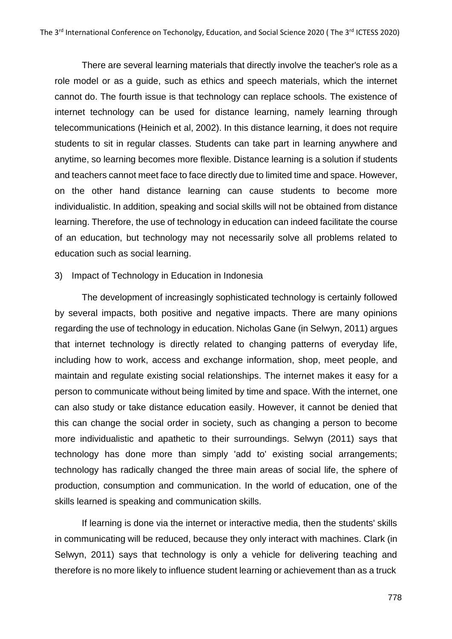There are several learning materials that directly involve the teacher's role as a role model or as a guide, such as ethics and speech materials, which the internet cannot do. The fourth issue is that technology can replace schools. The existence of internet technology can be used for distance learning, namely learning through telecommunications (Heinich et al, 2002). In this distance learning, it does not require students to sit in regular classes. Students can take part in learning anywhere and anytime, so learning becomes more flexible. Distance learning is a solution if students and teachers cannot meet face to face directly due to limited time and space. However, on the other hand distance learning can cause students to become more individualistic. In addition, speaking and social skills will not be obtained from distance learning. Therefore, the use of technology in education can indeed facilitate the course of an education, but technology may not necessarily solve all problems related to education such as social learning.

#### 3) Impact of Technology in Education in Indonesia

The development of increasingly sophisticated technology is certainly followed by several impacts, both positive and negative impacts. There are many opinions regarding the use of technology in education. Nicholas Gane (in Selwyn, 2011) argues that internet technology is directly related to changing patterns of everyday life, including how to work, access and exchange information, shop, meet people, and maintain and regulate existing social relationships. The internet makes it easy for a person to communicate without being limited by time and space. With the internet, one can also study or take distance education easily. However, it cannot be denied that this can change the social order in society, such as changing a person to become more individualistic and apathetic to their surroundings. Selwyn (2011) says that technology has done more than simply 'add to' existing social arrangements; technology has radically changed the three main areas of social life, the sphere of production, consumption and communication. In the world of education, one of the skills learned is speaking and communication skills.

If learning is done via the internet or interactive media, then the students' skills in communicating will be reduced, because they only interact with machines. Clark (in Selwyn, 2011) says that technology is only a vehicle for delivering teaching and therefore is no more likely to influence student learning or achievement than as a truck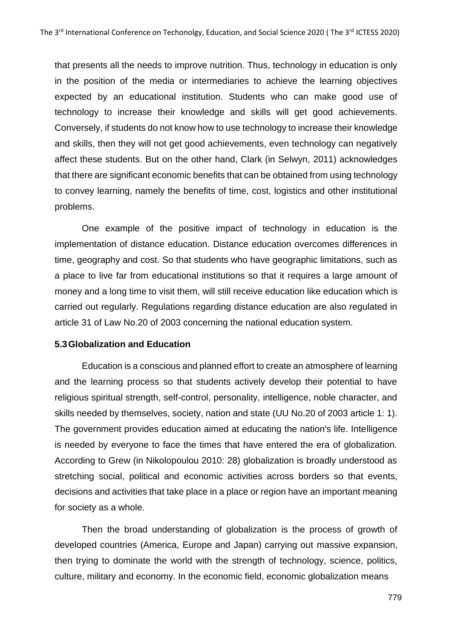that presents all the needs to improve nutrition. Thus, technology in education is only in the position of the media or intermediaries to achieve the learning objectives expected by an educational institution. Students who can make good use of technology to increase their knowledge and skills will get good achievements. Conversely, if students do not know how to use technology to increase their knowledge and skills, then they will not get good achievements, even technology can negatively affect these students. But on the other hand, Clark (in Selwyn, 2011) acknowledges that there are significant economic benefits that can be obtained from using technology to convey learning, namely the benefits of time, cost, logistics and other institutional problems.

One example of the positive impact of technology in education is the implementation of distance education. Distance education overcomes differences in time, geography and cost. So that students who have geographic limitations, such as a place to live far from educational institutions so that it requires a large amount of money and a long time to visit them, will still receive education like education which is carried out regularly. Regulations regarding distance education are also regulated in article 31 of Law No.20 of 2003 concerning the national education system.

### **5.3Globalization and Education**

Education is a conscious and planned effort to create an atmosphere of learning and the learning process so that students actively develop their potential to have religious spiritual strength, self-control, personality, intelligence, noble character, and skills needed by themselves, society, nation and state (UU No.20 of 2003 article 1: 1). The government provides education aimed at educating the nation's life. Intelligence is needed by everyone to face the times that have entered the era of globalization. According to Grew (in Nikolopoulou 2010: 28) globalization is broadly understood as stretching social, political and economic activities across borders so that events, decisions and activities that take place in a place or region have an important meaning for society as a whole.

Then the broad understanding of globalization is the process of growth of developed countries (America, Europe and Japan) carrying out massive expansion, then trying to dominate the world with the strength of technology, science, politics, culture, military and economy. In the economic field, economic globalization means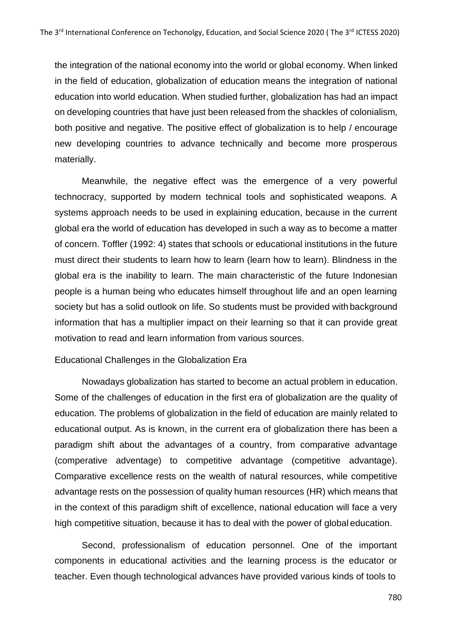the integration of the national economy into the world or global economy. When linked in the field of education, globalization of education means the integration of national education into world education. When studied further, globalization has had an impact on developing countries that have just been released from the shackles of colonialism, both positive and negative. The positive effect of globalization is to help / encourage new developing countries to advance technically and become more prosperous materially.

Meanwhile, the negative effect was the emergence of a very powerful technocracy, supported by modern technical tools and sophisticated weapons. A systems approach needs to be used in explaining education, because in the current global era the world of education has developed in such a way as to become a matter of concern. Toffler (1992: 4) states that schools or educational institutions in the future must direct their students to learn how to learn (learn how to learn). Blindness in the global era is the inability to learn. The main characteristic of the future Indonesian people is a human being who educates himself throughout life and an open learning society but has a solid outlook on life. So students must be provided with background information that has a multiplier impact on their learning so that it can provide great motivation to read and learn information from various sources.

#### Educational Challenges in the Globalization Era

Nowadays globalization has started to become an actual problem in education. Some of the challenges of education in the first era of globalization are the quality of education. The problems of globalization in the field of education are mainly related to educational output. As is known, in the current era of globalization there has been a paradigm shift about the advantages of a country, from comparative advantage (comperative adventage) to competitive advantage (competitive advantage). Comparative excellence rests on the wealth of natural resources, while competitive advantage rests on the possession of quality human resources (HR) which means that in the context of this paradigm shift of excellence, national education will face a very high competitive situation, because it has to deal with the power of global education.

Second, professionalism of education personnel. One of the important components in educational activities and the learning process is the educator or teacher. Even though technological advances have provided various kinds of tools to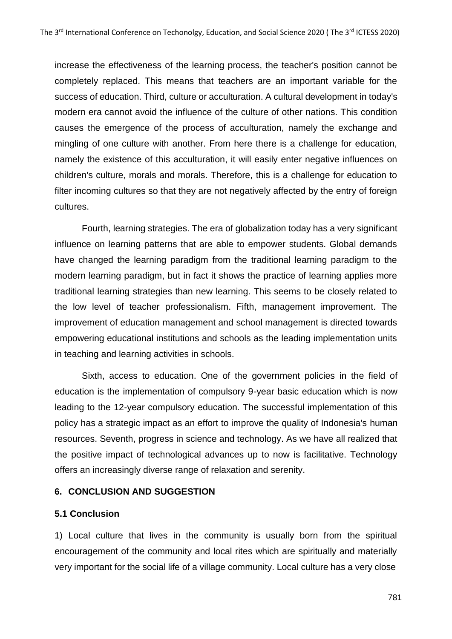increase the effectiveness of the learning process, the teacher's position cannot be completely replaced. This means that teachers are an important variable for the success of education. Third, culture or acculturation. A cultural development in today's modern era cannot avoid the influence of the culture of other nations. This condition causes the emergence of the process of acculturation, namely the exchange and mingling of one culture with another. From here there is a challenge for education, namely the existence of this acculturation, it will easily enter negative influences on children's culture, morals and morals. Therefore, this is a challenge for education to filter incoming cultures so that they are not negatively affected by the entry of foreign cultures.

Fourth, learning strategies. The era of globalization today has a very significant influence on learning patterns that are able to empower students. Global demands have changed the learning paradigm from the traditional learning paradigm to the modern learning paradigm, but in fact it shows the practice of learning applies more traditional learning strategies than new learning. This seems to be closely related to the low level of teacher professionalism. Fifth, management improvement. The improvement of education management and school management is directed towards empowering educational institutions and schools as the leading implementation units in teaching and learning activities in schools.

Sixth, access to education. One of the government policies in the field of education is the implementation of compulsory 9-year basic education which is now leading to the 12-year compulsory education. The successful implementation of this policy has a strategic impact as an effort to improve the quality of Indonesia's human resources. Seventh, progress in science and technology. As we have all realized that the positive impact of technological advances up to now is facilitative. Technology offers an increasingly diverse range of relaxation and serenity.

# **6. CONCLUSION AND SUGGESTION**

# **5.1 Conclusion**

1) Local culture that lives in the community is usually born from the spiritual encouragement of the community and local rites which are spiritually and materially very important for the social life of a village community. Local culture has a very close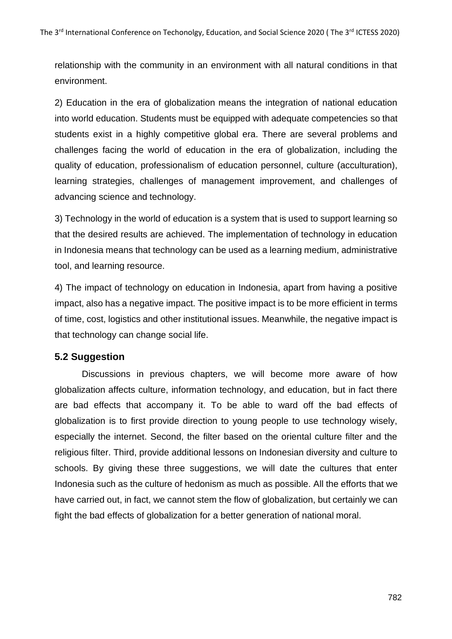relationship with the community in an environment with all natural conditions in that environment.

2) Education in the era of globalization means the integration of national education into world education. Students must be equipped with adequate competencies so that students exist in a highly competitive global era. There are several problems and challenges facing the world of education in the era of globalization, including the quality of education, professionalism of education personnel, culture (acculturation), learning strategies, challenges of management improvement, and challenges of advancing science and technology.

3) Technology in the world of education is a system that is used to support learning so that the desired results are achieved. The implementation of technology in education in Indonesia means that technology can be used as a learning medium, administrative tool, and learning resource.

4) The impact of technology on education in Indonesia, apart from having a positive impact, also has a negative impact. The positive impact is to be more efficient in terms of time, cost, logistics and other institutional issues. Meanwhile, the negative impact is that technology can change social life.

# **5.2 Suggestion**

Discussions in previous chapters, we will become more aware of how globalization affects culture, information technology, and education, but in fact there are bad effects that accompany it. To be able to ward off the bad effects of globalization is to first provide direction to young people to use technology wisely, especially the internet. Second, the filter based on the oriental culture filter and the religious filter. Third, provide additional lessons on Indonesian diversity and culture to schools. By giving these three suggestions, we will date the cultures that enter Indonesia such as the culture of hedonism as much as possible. All the efforts that we have carried out, in fact, we cannot stem the flow of globalization, but certainly we can fight the bad effects of globalization for a better generation of national moral.